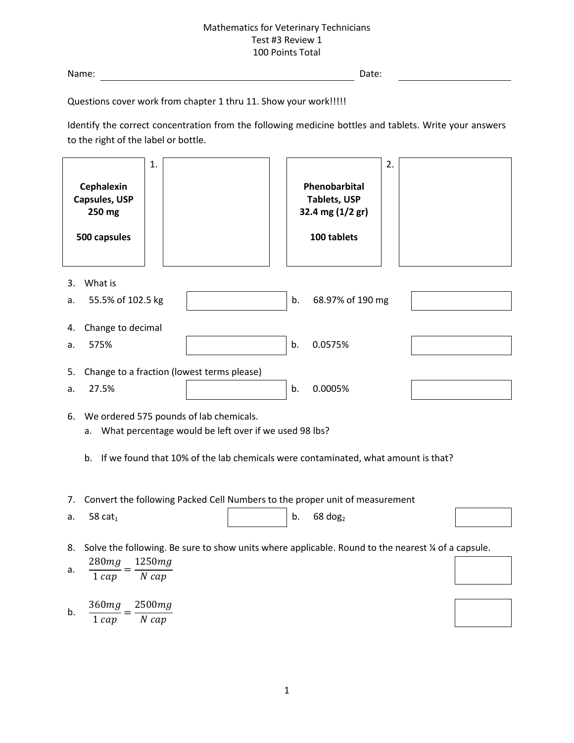Name: Date:

Questions cover work from chapter 1 thru 11. Show your work!!!!!

Identify the correct concentration from the following medicine bottles and tablets. Write your answers to the right of the label or bottle.

| Cephalexin<br><b>Capsules, USP</b><br>250 mg<br>500 capsules                                                                                                                                            | 1.                | 2.<br>Phenobarbital<br><b>Tablets, USP</b><br>32.4 mg (1/2 gr)<br>100 tablets |  |
|---------------------------------------------------------------------------------------------------------------------------------------------------------------------------------------------------------|-------------------|-------------------------------------------------------------------------------|--|
| What is<br>3.<br>55.5% of 102.5 kg<br>a.                                                                                                                                                                |                   | b.<br>68.97% of 190 mg                                                        |  |
| Change to decimal<br>4.<br>575%<br>a.                                                                                                                                                                   |                   | b.<br>0.0575%                                                                 |  |
| Change to a fraction (lowest terms please)<br>5.                                                                                                                                                        |                   |                                                                               |  |
| 27.5%<br>a.                                                                                                                                                                                             |                   | b.<br>0.0005%                                                                 |  |
| We ordered 575 pounds of lab chemicals.<br>6.<br>What percentage would be left over if we used 98 lbs?<br>a.<br>If we found that 10% of the lab chemicals were contaminated, what amount is that?<br>b. |                   |                                                                               |  |
| Convert the following Packed Cell Numbers to the proper unit of measurement<br>7.                                                                                                                       |                   |                                                                               |  |
| 58 $cat1$<br>a.                                                                                                                                                                                         |                   | b.<br>$68$ dog <sub>2</sub>                                                   |  |
| Solve the following. Be sure to show units where applicable. Round to the nearest % of a capsule.<br>8.                                                                                                 |                   |                                                                               |  |
| 280mg<br>a.<br>$1 \, cap$                                                                                                                                                                               | 1250mg<br>$N$ cap |                                                                               |  |
| 360mg<br>b.<br>$1 \, cap$                                                                                                                                                                               | 2500mg<br>$N$ cap |                                                                               |  |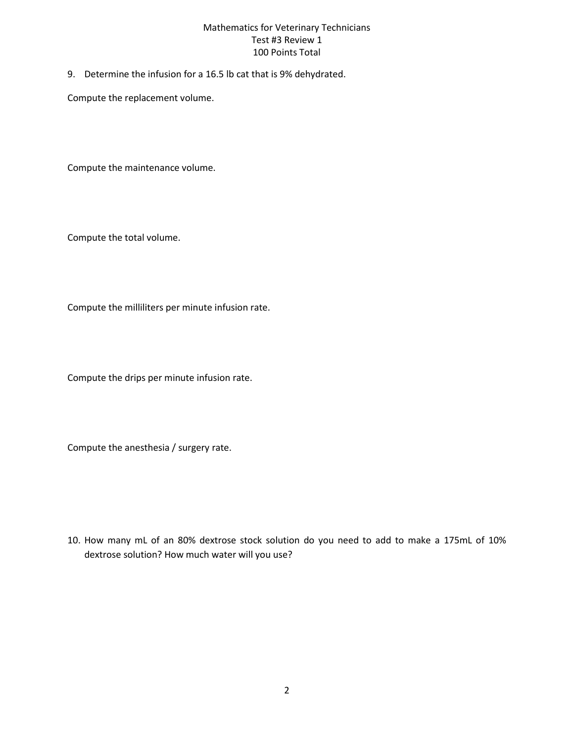9. Determine the infusion for a 16.5 lb cat that is 9% dehydrated.

Compute the replacement volume.

Compute the maintenance volume.

Compute the total volume.

Compute the milliliters per minute infusion rate.

Compute the drips per minute infusion rate.

Compute the anesthesia / surgery rate.

10. How many mL of an 80% dextrose stock solution do you need to add to make a 175mL of 10% dextrose solution? How much water will you use?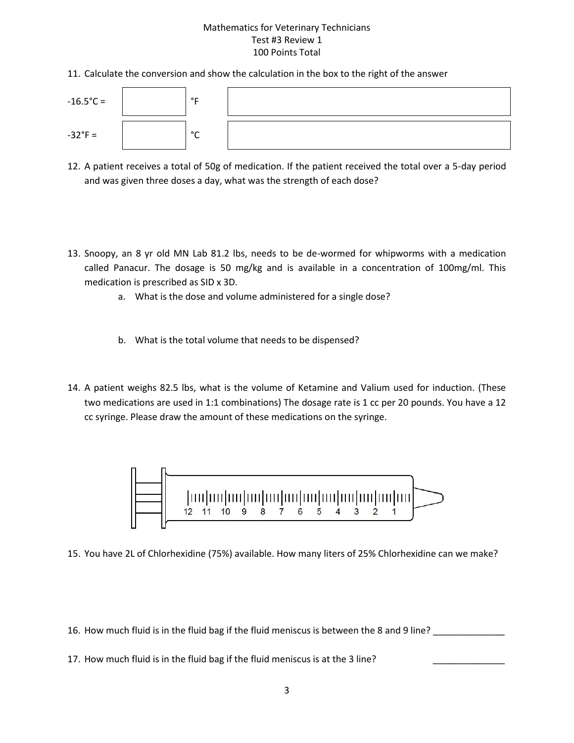11. Calculate the conversion and show the calculation in the box to the right of the answer



- 12. A patient receives a total of 50g of medication. If the patient received the total over a 5-day period and was given three doses a day, what was the strength of each dose?
- 13. Snoopy, an 8 yr old MN Lab 81.2 lbs, needs to be de-wormed for whipworms with a medication called Panacur. The dosage is 50 mg/kg and is available in a concentration of 100mg/ml. This medication is prescribed as SID x 3D.
	- a. What is the dose and volume administered for a single dose?
	- b. What is the total volume that needs to be dispensed?
- 14. A patient weighs 82.5 lbs, what is the volume of Ketamine and Valium used for induction. (These two medications are used in 1:1 combinations) The dosage rate is 1 cc per 20 pounds. You have a 12 cc syringe. Please draw the amount of these medications on the syringe.



15. You have 2L of Chlorhexidine (75%) available. How many liters of 25% Chlorhexidine can we make?

16. How much fluid is in the fluid bag if the fluid meniscus is between the 8 and 9 line?

17. How much fluid is in the fluid bag if the fluid meniscus is at the 3 line?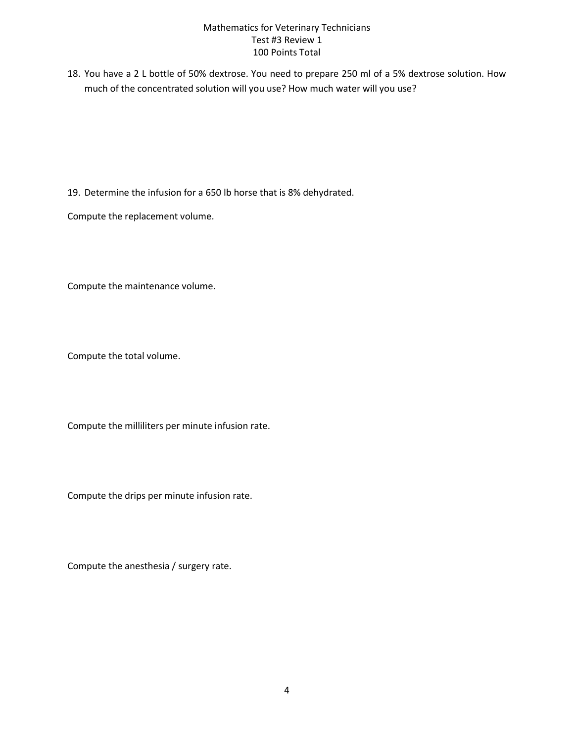18. You have a 2 L bottle of 50% dextrose. You need to prepare 250 ml of a 5% dextrose solution. How much of the concentrated solution will you use? How much water will you use?

19. Determine the infusion for a 650 lb horse that is 8% dehydrated.

Compute the replacement volume.

Compute the maintenance volume.

Compute the total volume.

Compute the milliliters per minute infusion rate.

Compute the drips per minute infusion rate.

Compute the anesthesia / surgery rate.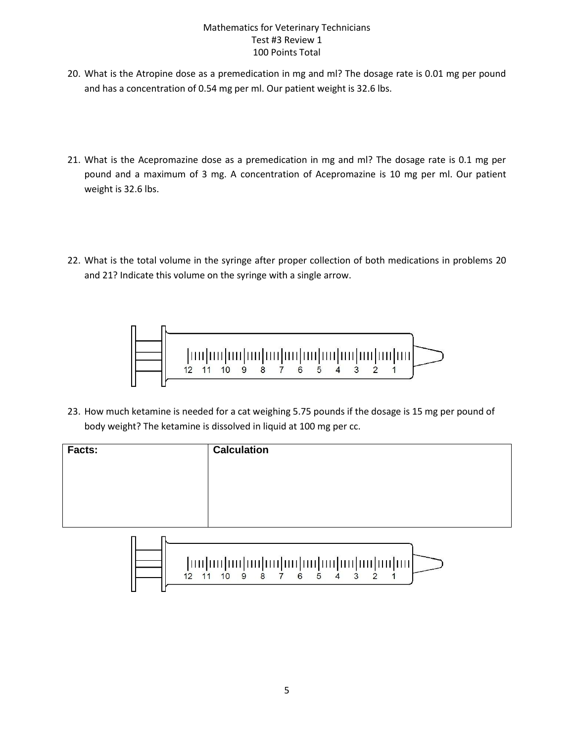- 20. What is the Atropine dose as a premedication in mg and ml? The dosage rate is 0.01 mg per pound and has a concentration of 0.54 mg per ml. Our patient weight is 32.6 lbs.
- 21. What is the Acepromazine dose as a premedication in mg and ml? The dosage rate is 0.1 mg per pound and a maximum of 3 mg. A concentration of Acepromazine is 10 mg per ml. Our patient weight is 32.6 lbs.
- 22. What is the total volume in the syringe after proper collection of both medications in problems 20 and 21? Indicate this volume on the syringe with a single arrow.



23. How much ketamine is needed for a cat weighing 5.75 pounds if the dosage is 15 mg per pound of body weight? The ketamine is dissolved in liquid at 100 mg per cc.

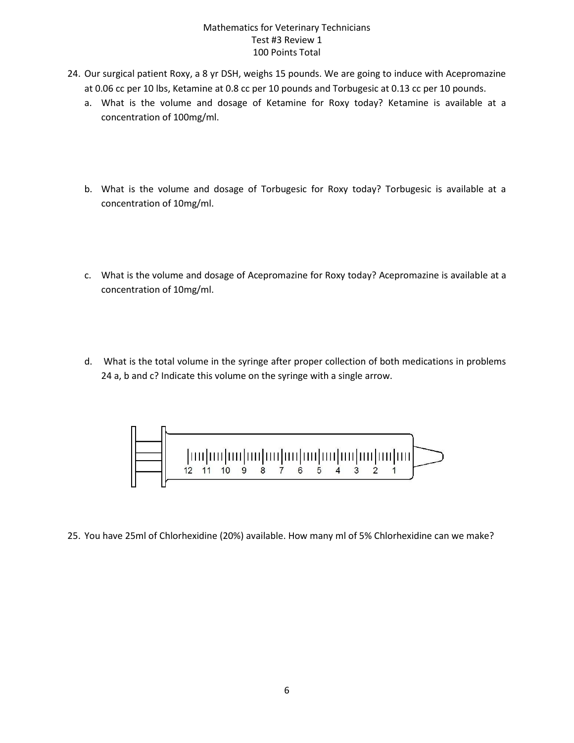- 24. Our surgical patient Roxy, a 8 yr DSH, weighs 15 pounds. We are going to induce with Acepromazine at 0.06 cc per 10 lbs, Ketamine at 0.8 cc per 10 pounds and Torbugesic at 0.13 cc per 10 pounds.
	- a. What is the volume and dosage of Ketamine for Roxy today? Ketamine is available at a concentration of 100mg/ml.
	- b. What is the volume and dosage of Torbugesic for Roxy today? Torbugesic is available at a concentration of 10mg/ml.
	- c. What is the volume and dosage of Acepromazine for Roxy today? Acepromazine is available at a concentration of 10mg/ml.
	- d. What is the total volume in the syringe after proper collection of both medications in problems 24 a, b and c? Indicate this volume on the syringe with a single arrow.



25. You have 25ml of Chlorhexidine (20%) available. How many ml of 5% Chlorhexidine can we make?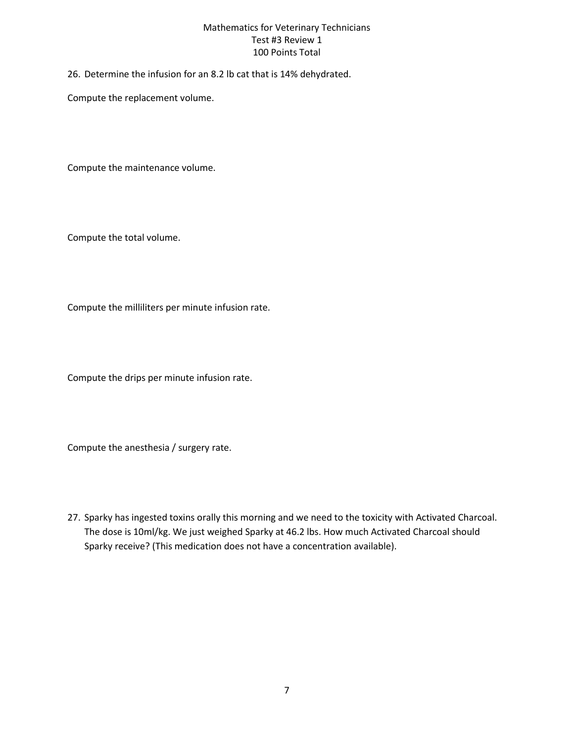26. Determine the infusion for an 8.2 lb cat that is 14% dehydrated.

Compute the replacement volume.

Compute the maintenance volume.

Compute the total volume.

Compute the milliliters per minute infusion rate.

Compute the drips per minute infusion rate.

Compute the anesthesia / surgery rate.

27. Sparky has ingested toxins orally this morning and we need to the toxicity with Activated Charcoal. The dose is 10ml/kg. We just weighed Sparky at 46.2 lbs. How much Activated Charcoal should Sparky receive? (This medication does not have a concentration available).